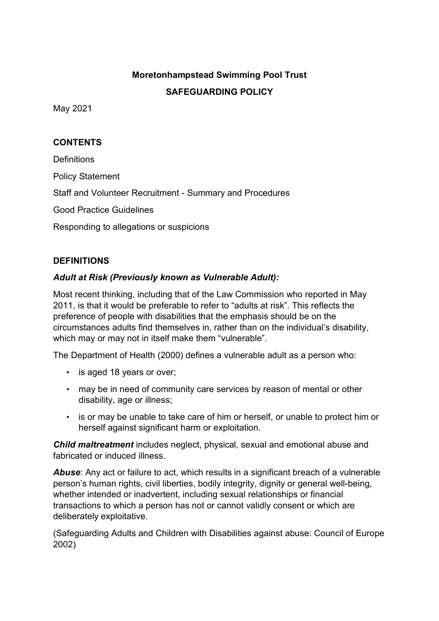# **Moretonhampstead Swimming Pool Trust SAFEGUARDING POLICY**

May 2021

## **CONTENTS**

**Definitions** 

Policy Statement

Staff and Volunteer Recruitment - Summary and Procedures

Good Practice Guidelines

Responding to allegations or suspicions

## **DEFINITIONS**

## *Adult at Risk (Previously known as Vulnerable Adult):*

Most recent thinking, including that of the Law Commission who reported in May 2011, is that it would be preferable to refer to "adults at risk". This reflects the preference of people with disabilities that the emphasis should be on the circumstances adults find themselves in, rather than on the individual's disability, which may or may not in itself make them "vulnerable".

The Department of Health (2000) defines a vulnerable adult as a person who:

- is aged 18 years or over;
- may be in need of community care services by reason of mental or other disability, age or illness;
- is or may be unable to take care of him or herself, or unable to protect him or herself against significant harm or exploitation.

*Child maltreatment* includes neglect, physical, sexual and emotional abuse and fabricated or induced illness.

*Abuse*: Any act or failure to act, which results in a significant breach of a vulnerable person's human rights, civil liberties, bodily integrity, dignity or general well-being, whether intended or inadvertent, including sexual relationships or financial transactions to which a person has not or cannot validly consent or which are deliberately exploitative.

(Safeguarding Adults and Children with Disabilities against abuse: Council of Europe 2002)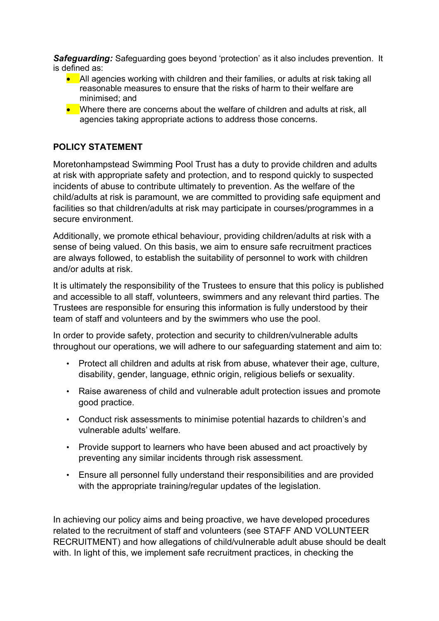*Safeguarding:* Safeguarding goes beyond 'protection' as it also includes prevention.It is defined as:

- All agencies working with children and their families, or adults at risk taking all reasonable measures to ensure that the risks of harm to their welfare are minimised; and
- Where there are concerns about the welfare of children and adults at risk, all agencies taking appropriate actions to address those concerns.

# **POLICY STATEMENT**

Moretonhampstead Swimming Pool Trust has a duty to provide children and adults at risk with appropriate safety and protection, and to respond quickly to suspected incidents of abuse to contribute ultimately to prevention. As the welfare of the child/adults at risk is paramount, we are committed to providing safe equipment and facilities so that children/adults at risk may participate in courses/programmes in a secure environment.

Additionally, we promote ethical behaviour, providing children/adults at risk with a sense of being valued. On this basis, we aim to ensure safe recruitment practices are always followed, to establish the suitability of personnel to work with children and/or adults at risk.

It is ultimately the responsibility of the Trustees to ensure that this policy is published and accessible to all staff, volunteers, swimmers and any relevant third parties. The Trustees are responsible for ensuring this information is fully understood by their team of staff and volunteers and by the swimmers who use the pool.

In order to provide safety, protection and security to children/vulnerable adults throughout our operations, we will adhere to our safeguarding statement and aim to:

- Protect all children and adults at risk from abuse, whatever their age, culture, disability, gender, language, ethnic origin, religious beliefs or sexuality.
- Raise awareness of child and vulnerable adult protection issues and promote good practice.
- Conduct risk assessments to minimise potential hazards to children's and vulnerable adults' welfare.
- Provide support to learners who have been abused and act proactively by preventing any similar incidents through risk assessment.
- Ensure all personnel fully understand their responsibilities and are provided with the appropriate training/regular updates of the legislation.

In achieving our policy aims and being proactive, we have developed procedures related to the recruitment of staff and volunteers (see STAFF AND VOLUNTEER RECRUITMENT) and how allegations of child/vulnerable adult abuse should be dealt with. In light of this, we implement safe recruitment practices, in checking the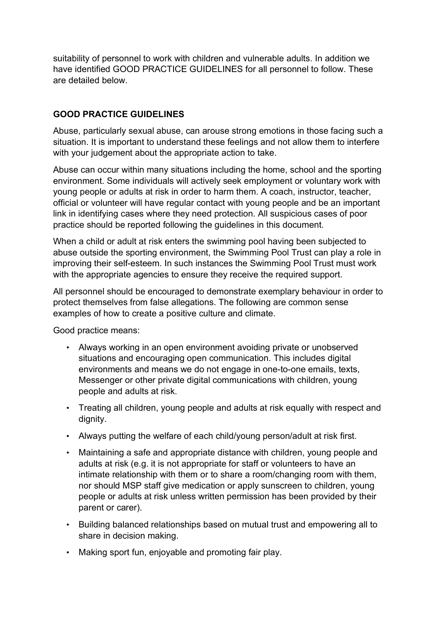suitability of personnel to work with children and vulnerable adults. In addition we have identified GOOD PRACTICE GUIDELINES for all personnel to follow. These are detailed below.

# **GOOD PRACTICE GUIDELINES**

Abuse, particularly sexual abuse, can arouse strong emotions in those facing such a situation. It is important to understand these feelings and not allow them to interfere with your judgement about the appropriate action to take.

Abuse can occur within many situations including the home, school and the sporting environment. Some individuals will actively seek employment or voluntary work with young people or adults at risk in order to harm them. A coach, instructor, teacher, official or volunteer will have regular contact with young people and be an important link in identifying cases where they need protection. All suspicious cases of poor practice should be reported following the guidelines in this document.

When a child or adult at risk enters the swimming pool having been subjected to abuse outside the sporting environment, the Swimming Pool Trust can play a role in improving their self-esteem. In such instances the Swimming Pool Trust must work with the appropriate agencies to ensure they receive the required support.

All personnel should be encouraged to demonstrate exemplary behaviour in order to protect themselves from false allegations. The following are common sense examples of how to create a positive culture and climate.

Good practice means:

- Always working in an open environment avoiding private or unobserved situations and encouraging open communication. This includes digital environments and means we do not engage in one-to-one emails, texts, Messenger or other private digital communications with children, young people and adults at risk.
- Treating all children, young people and adults at risk equally with respect and dignity.
- Always putting the welfare of each child/young person/adult at risk first.
- Maintaining a safe and appropriate distance with children, young people and adults at risk (e.g. it is not appropriate for staff or volunteers to have an intimate relationship with them or to share a room/changing room with them, nor should MSP staff give medication or apply sunscreen to children, young people or adults at risk unless written permission has been provided by their parent or carer).
- Building balanced relationships based on mutual trust and empowering all to share in decision making.
- Making sport fun, enjoyable and promoting fair play.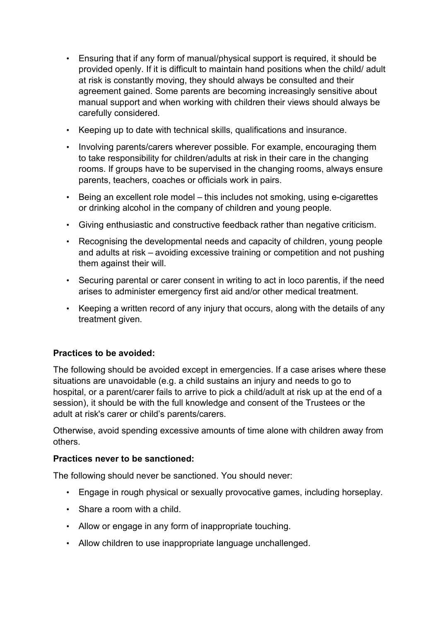- Ensuring that if any form of manual/physical support is required, it should be provided openly. If it is difficult to maintain hand positions when the child/ adult at risk is constantly moving, they should always be consulted and their agreement gained. Some parents are becoming increasingly sensitive about manual support and when working with children their views should always be carefully considered.
- Keeping up to date with technical skills, qualifications and insurance.
- Involving parents/carers wherever possible. For example, encouraging them to take responsibility for children/adults at risk in their care in the changing rooms. If groups have to be supervised in the changing rooms, always ensure parents, teachers, coaches or officials work in pairs.
- Being an excellent role model this includes not smoking, using e-cigarettes or drinking alcohol in the company of children and young people.
- Giving enthusiastic and constructive feedback rather than negative criticism.
- Recognising the developmental needs and capacity of children, young people and adults at risk – avoiding excessive training or competition and not pushing them against their will.
- Securing parental or carer consent in writing to act in loco parentis, if the need arises to administer emergency first aid and/or other medical treatment.
- Keeping a written record of any injury that occurs, along with the details of any treatment given.

# **Practices to be avoided:**

The following should be avoided except in emergencies. If a case arises where these situations are unavoidable (e.g. a child sustains an injury and needs to go to hospital, or a parent/carer fails to arrive to pick a child/adult at risk up at the end of a session), it should be with the full knowledge and consent of the Trustees or the adult at risk's carer or child's parents/carers.

Otherwise, avoid spending excessive amounts of time alone with children away from others.

# **Practices never to be sanctioned:**

The following should never be sanctioned. You should never:

- Engage in rough physical or sexually provocative games, including horseplay.
- Share a room with a child.
- Allow or engage in any form of inappropriate touching.
- Allow children to use inappropriate language unchallenged.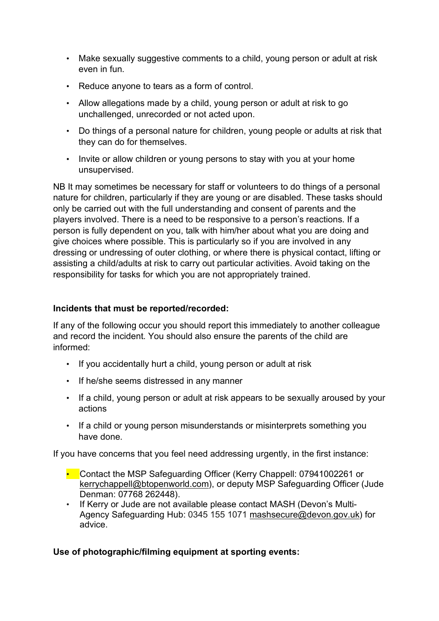- Make sexually suggestive comments to a child, young person or adult at risk even in fun.
- Reduce anyone to tears as a form of control.
- Allow allegations made by a child, young person or adult at risk to go unchallenged, unrecorded or not acted upon.
- Do things of a personal nature for children, young people or adults at risk that they can do for themselves.
- Invite or allow children or young persons to stay with you at your home unsupervised.

NB It may sometimes be necessary for staff or volunteers to do things of a personal nature for children, particularly if they are young or are disabled. These tasks should only be carried out with the full understanding and consent of parents and the players involved. There is a need to be responsive to a person's reactions. If a person is fully dependent on you, talk with him/her about what you are doing and give choices where possible. This is particularly so if you are involved in any dressing or undressing of outer clothing, or where there is physical contact, lifting or assisting a child/adults at risk to carry out particular activities. Avoid taking on the responsibility for tasks for which you are not appropriately trained.

## **Incidents that must be reported/recorded:**

If any of the following occur you should report this immediately to another colleague and record the incident. You should also ensure the parents of the child are informed:

- If you accidentally hurt a child, young person or adult at risk
- If he/she seems distressed in any manner
- If a child, young person or adult at risk appears to be sexually aroused by your actions
- If a child or young person misunderstands or misinterprets something you have done.

If you have concerns that you feel need addressing urgently, in the first instance:

- Contact the MSP Safeguarding Officer (Kerry Chappell: 07941002261 or kerrychappell@btopenworld.com), or deputy MSP Safeguarding Officer (Jude Denman: 07768 262448).
- If Kerry or Jude are not available please contact MASH (Devon's Multi-Agency Safeguarding Hub: 0345 155 1071 mashsecure@devon.gov.uk) for advice.

# **Use of photographic/filming equipment at sporting events:**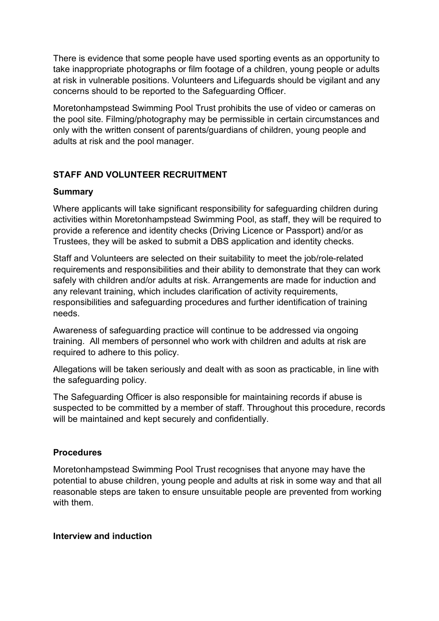There is evidence that some people have used sporting events as an opportunity to take inappropriate photographs or film footage of a children, young people or adults at risk in vulnerable positions. Volunteers and Lifeguards should be vigilant and any concerns should to be reported to the Safeguarding Officer.

Moretonhampstead Swimming Pool Trust prohibits the use of video or cameras on the pool site. Filming/photography may be permissible in certain circumstances and only with the written consent of parents/guardians of children, young people and adults at risk and the pool manager.

# **STAFF AND VOLUNTEER RECRUITMENT**

## **Summary**

Where applicants will take significant responsibility for safeguarding children during activities within Moretonhampstead Swimming Pool, as staff, they will be required to provide a reference and identity checks (Driving Licence or Passport) and/or as Trustees, they will be asked to submit a DBS application and identity checks.

Staff and Volunteers are selected on their suitability to meet the job/role-related requirements and responsibilities and their ability to demonstrate that they can work safely with children and/or adults at risk. Arrangements are made for induction and any relevant training, which includes clarification of activity requirements, responsibilities and safeguarding procedures and further identification of training needs.

Awareness of safeguarding practice will continue to be addressed via ongoing training. All members of personnel who work with children and adults at risk are required to adhere to this policy.

Allegations will be taken seriously and dealt with as soon as practicable, in line with the safeguarding policy.

The Safeguarding Officer is also responsible for maintaining records if abuse is suspected to be committed by a member of staff. Throughout this procedure, records will be maintained and kept securely and confidentially.

# **Procedures**

Moretonhampstead Swimming Pool Trust recognises that anyone may have the potential to abuse children, young people and adults at risk in some way and that all reasonable steps are taken to ensure unsuitable people are prevented from working with them.

#### **Interview and induction**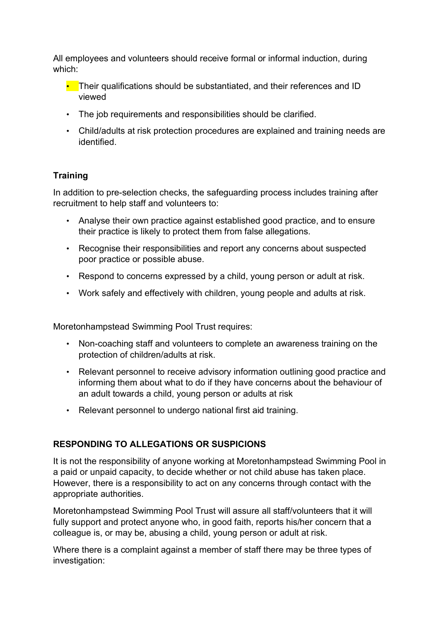All employees and volunteers should receive formal or informal induction, during which:

- Their qualifications should be substantiated, and their references and ID viewed
- The job requirements and responsibilities should be clarified.
- Child/adults at risk protection procedures are explained and training needs are identified.

# **Training**

In addition to pre-selection checks, the safeguarding process includes training after recruitment to help staff and volunteers to:

- Analyse their own practice against established good practice, and to ensure their practice is likely to protect them from false allegations.
- Recognise their responsibilities and report any concerns about suspected poor practice or possible abuse.
- Respond to concerns expressed by a child, young person or adult at risk.
- Work safely and effectively with children, young people and adults at risk.

Moretonhampstead Swimming Pool Trust requires:

- Non-coaching staff and volunteers to complete an awareness training on the protection of children/adults at risk.
- Relevant personnel to receive advisory information outlining good practice and informing them about what to do if they have concerns about the behaviour of an adult towards a child, young person or adults at risk
- Relevant personnel to undergo national first aid training.

# **RESPONDING TO ALLEGATIONS OR SUSPICIONS**

It is not the responsibility of anyone working at Moretonhampstead Swimming Pool in a paid or unpaid capacity, to decide whether or not child abuse has taken place. However, there is a responsibility to act on any concerns through contact with the appropriate authorities.

Moretonhampstead Swimming Pool Trust will assure all staff/volunteers that it will fully support and protect anyone who, in good faith, reports his/her concern that a colleague is, or may be, abusing a child, young person or adult at risk.

Where there is a complaint against a member of staff there may be three types of investigation: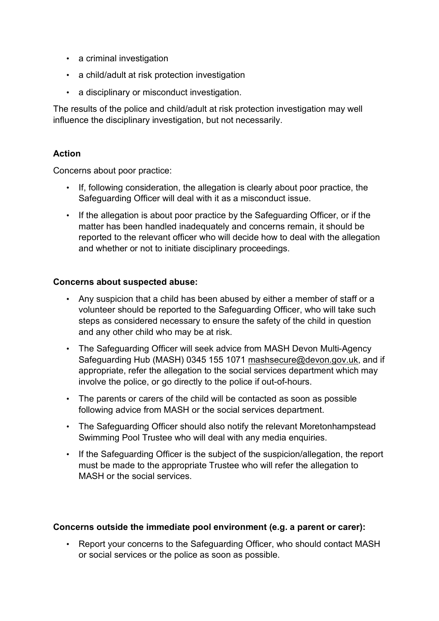- a criminal investigation
- a child/adult at risk protection investigation
- a disciplinary or misconduct investigation.

The results of the police and child/adult at risk protection investigation may well influence the disciplinary investigation, but not necessarily.

## **Action**

Concerns about poor practice:

- If, following consideration, the allegation is clearly about poor practice, the Safeguarding Officer will deal with it as a misconduct issue.
- If the allegation is about poor practice by the Safeguarding Officer, or if the matter has been handled inadequately and concerns remain, it should be reported to the relevant officer who will decide how to deal with the allegation and whether or not to initiate disciplinary proceedings.

#### **Concerns about suspected abuse:**

- Any suspicion that a child has been abused by either a member of staff or a volunteer should be reported to the Safeguarding Officer, who will take such steps as considered necessary to ensure the safety of the child in question and any other child who may be at risk.
- The Safeguarding Officer will seek advice from MASH Devon Multi-Agency Safeguarding Hub (MASH) 0345 155 1071 mashsecure@devon.gov.uk, and if appropriate, refer the allegation to the social services department which may involve the police, or go directly to the police if out-of-hours.
- The parents or carers of the child will be contacted as soon as possible following advice from MASH or the social services department.
- The Safeguarding Officer should also notify the relevant Moretonhampstead Swimming Pool Trustee who will deal with any media enquiries.
- If the Safeguarding Officer is the subject of the suspicion/allegation, the report must be made to the appropriate Trustee who will refer the allegation to MASH or the social services.

#### **Concerns outside the immediate pool environment (e.g. a parent or carer):**

• Report your concerns to the Safeguarding Officer, who should contact MASH or social services or the police as soon as possible.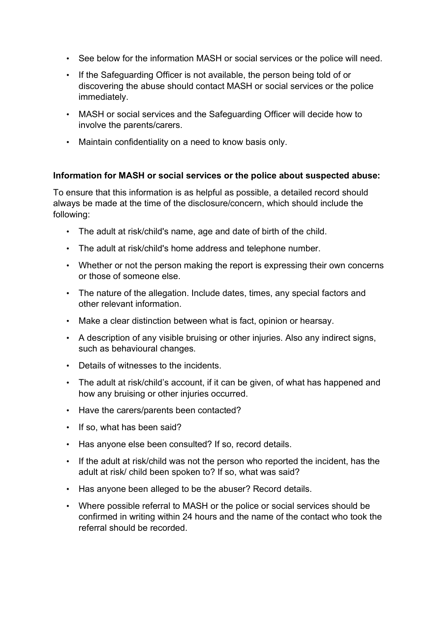- See below for the information MASH or social services or the police will need.
- If the Safeguarding Officer is not available, the person being told of or discovering the abuse should contact MASH or social services or the police immediately.
- MASH or social services and the Safeguarding Officer will decide how to involve the parents/carers.
- Maintain confidentiality on a need to know basis only.

## **Information for MASH or social services or the police about suspected abuse:**

To ensure that this information is as helpful as possible, a detailed record should always be made at the time of the disclosure/concern, which should include the following:

- The adult at risk/child's name, age and date of birth of the child.
- The adult at risk/child's home address and telephone number.
- Whether or not the person making the report is expressing their own concerns or those of someone else.
- The nature of the allegation. Include dates, times, any special factors and other relevant information.
- Make a clear distinction between what is fact, opinion or hearsay.
- A description of any visible bruising or other injuries. Also any indirect signs, such as behavioural changes.
- Details of witnesses to the incidents.
- The adult at risk/child's account, if it can be given, of what has happened and how any bruising or other injuries occurred.
- Have the carers/parents been contacted?
- If so, what has been said?
- Has anyone else been consulted? If so, record details.
- If the adult at risk/child was not the person who reported the incident, has the adult at risk/ child been spoken to? If so, what was said?
- Has anyone been alleged to be the abuser? Record details.
- Where possible referral to MASH or the police or social services should be confirmed in writing within 24 hours and the name of the contact who took the referral should be recorded.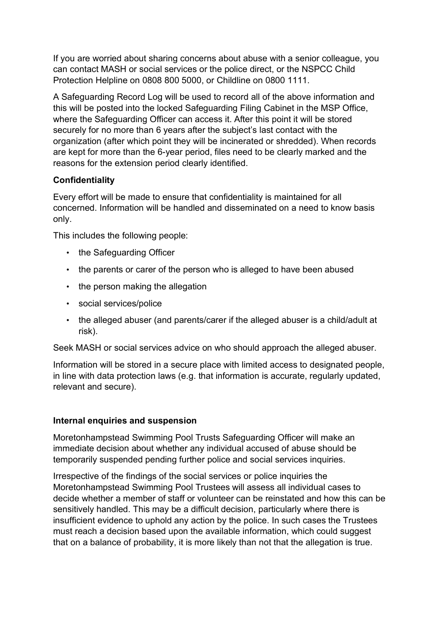If you are worried about sharing concerns about abuse with a senior colleague, you can contact MASH or social services or the police direct, or the NSPCC Child Protection Helpline on 0808 800 5000, or Childline on 0800 1111.

A Safeguarding Record Log will be used to record all of the above information and this will be posted into the locked Safeguarding Filing Cabinet in the MSP Office, where the Safeguarding Officer can access it. After this point it will be stored securely for no more than 6 years after the subject's last contact with the organization (after which point they will be incinerated or shredded). When records are kept for more than the 6-year period, files need to be clearly marked and the reasons for the extension period clearly identified.

# **Confidentiality**

Every effort will be made to ensure that confidentiality is maintained for all concerned. Information will be handled and disseminated on a need to know basis only.

This includes the following people:

- the Safeguarding Officer
- the parents or carer of the person who is alleged to have been abused
- the person making the allegation
- social services/police
- the alleged abuser (and parents/carer if the alleged abuser is a child/adult at risk).

Seek MASH or social services advice on who should approach the alleged abuser.

Information will be stored in a secure place with limited access to designated people, in line with data protection laws (e.g. that information is accurate, regularly updated, relevant and secure).

# **Internal enquiries and suspension**

Moretonhampstead Swimming Pool Trusts Safeguarding Officer will make an immediate decision about whether any individual accused of abuse should be temporarily suspended pending further police and social services inquiries.

Irrespective of the findings of the social services or police inquiries the Moretonhampstead Swimming Pool Trustees will assess all individual cases to decide whether a member of staff or volunteer can be reinstated and how this can be sensitively handled. This may be a difficult decision, particularly where there is insufficient evidence to uphold any action by the police. In such cases the Trustees must reach a decision based upon the available information, which could suggest that on a balance of probability, it is more likely than not that the allegation is true.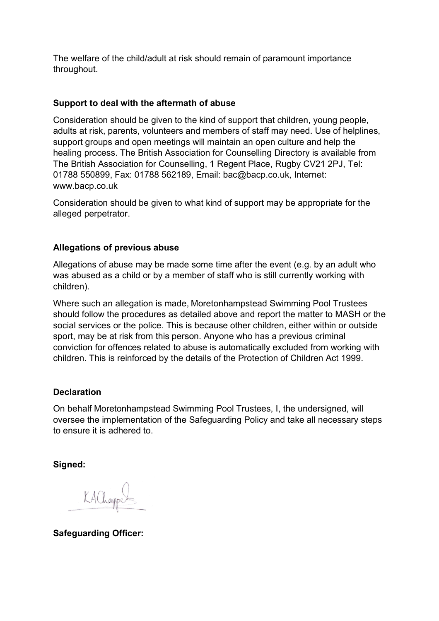The welfare of the child/adult at risk should remain of paramount importance throughout.

# **Support to deal with the aftermath of abuse**

Consideration should be given to the kind of support that children, young people, adults at risk, parents, volunteers and members of staff may need. Use of helplines, support groups and open meetings will maintain an open culture and help the healing process. The British Association for Counselling Directory is available from The British Association for Counselling, 1 Regent Place, Rugby CV21 2PJ, Tel: 01788 550899, Fax: 01788 562189, Email: bac@bacp.co.uk, Internet: www.bacp.co.uk

Consideration should be given to what kind of support may be appropriate for the alleged perpetrator.

## **Allegations of previous abuse**

Allegations of abuse may be made some time after the event (e.g. by an adult who was abused as a child or by a member of staff who is still currently working with children).

Where such an allegation is made, Moretonhampstead Swimming Pool Trustees should follow the procedures as detailed above and report the matter to MASH or the social services or the police. This is because other children, either within or outside sport, may be at risk from this person. Anyone who has a previous criminal conviction for offences related to abuse is automatically excluded from working with children. This is reinforced by the details of the Protection of Children Act 1999.

#### **Declaration**

On behalf Moretonhampstead Swimming Pool Trustees, I, the undersigned, will oversee the implementation of the Safeguarding Policy and take all necessary steps to ensure it is adhered to.

**Signed:**

KAChappel

**Safeguarding Officer:**